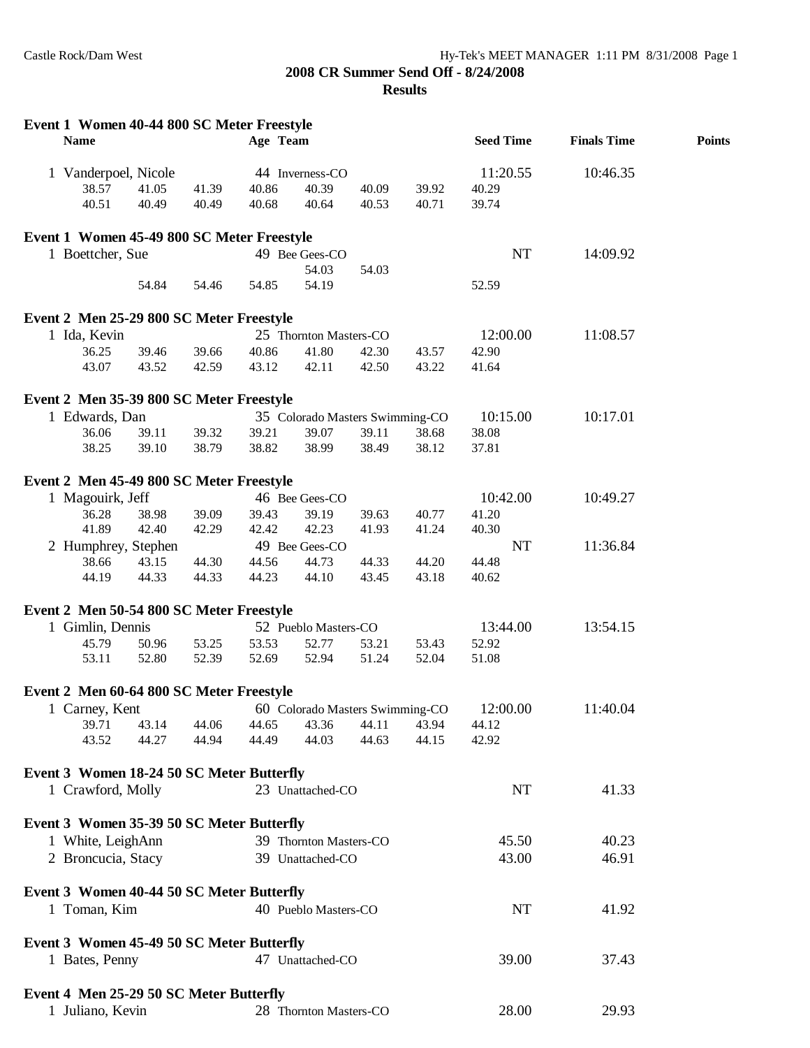## **2008 CR Summer Send Off - 8/24/2008 Results**

| Event 1 Women 40-44 800 SC Meter Freestyle<br><b>Name</b> |       |       | Age Team |                                 |       |       | <b>Seed Time</b> | <b>Finals Time</b> | <b>Points</b> |
|-----------------------------------------------------------|-------|-------|----------|---------------------------------|-------|-------|------------------|--------------------|---------------|
| 1 Vanderpoel, Nicole                                      |       |       |          | 44 Inverness-CO                 |       |       | 11:20.55         | 10:46.35           |               |
| 38.57                                                     | 41.05 | 41.39 | 40.86    | 40.39                           | 40.09 | 39.92 | 40.29            |                    |               |
| 40.51                                                     | 40.49 | 40.49 | 40.68    | 40.64                           | 40.53 | 40.71 | 39.74            |                    |               |
| Event 1 Women 45-49 800 SC Meter Freestyle                |       |       |          |                                 |       |       |                  |                    |               |
| 1 Boettcher, Sue                                          |       |       |          | 49 Bee Gees-CO                  |       |       | NT               | 14:09.92           |               |
|                                                           |       |       |          | 54.03                           | 54.03 |       |                  |                    |               |
|                                                           | 54.84 | 54.46 | 54.85    | 54.19                           |       |       | 52.59            |                    |               |
| Event 2 Men 25-29 800 SC Meter Freestyle                  |       |       |          |                                 |       |       |                  |                    |               |
| 1 Ida, Kevin                                              |       |       |          | 25 Thornton Masters-CO          |       |       | 12:00.00         | 11:08.57           |               |
| 36.25                                                     | 39.46 | 39.66 | 40.86    | 41.80                           | 42.30 | 43.57 | 42.90            |                    |               |
| 43.07                                                     | 43.52 | 42.59 | 43.12    | 42.11                           | 42.50 | 43.22 | 41.64            |                    |               |
| Event 2 Men 35-39 800 SC Meter Freestyle                  |       |       |          |                                 |       |       |                  |                    |               |
| 1 Edwards, Dan                                            |       |       |          | 35 Colorado Masters Swimming-CO |       |       | 10:15.00         | 10:17.01           |               |
| 36.06                                                     | 39.11 | 39.32 | 39.21    | 39.07                           | 39.11 | 38.68 | 38.08            |                    |               |
| 38.25                                                     | 39.10 | 38.79 | 38.82    | 38.99                           | 38.49 | 38.12 | 37.81            |                    |               |
| Event 2 Men 45-49 800 SC Meter Freestyle                  |       |       |          |                                 |       |       |                  |                    |               |
| 1 Magouirk, Jeff                                          |       |       |          | 46 Bee Gees-CO                  |       |       | 10:42.00         | 10:49.27           |               |
| 36.28                                                     | 38.98 | 39.09 | 39.43    | 39.19                           | 39.63 | 40.77 | 41.20            |                    |               |
| 41.89                                                     | 42.40 | 42.29 | 42.42    | 42.23                           | 41.93 | 41.24 | 40.30            |                    |               |
| 2 Humphrey, Stephen                                       |       |       |          | 49 Bee Gees-CO                  |       |       | NT               | 11:36.84           |               |
| 38.66                                                     | 43.15 | 44.30 | 44.56    | 44.73                           | 44.33 | 44.20 | 44.48            |                    |               |
| 44.19                                                     | 44.33 | 44.33 | 44.23    | 44.10                           | 43.45 | 43.18 | 40.62            |                    |               |
| Event 2 Men 50-54 800 SC Meter Freestyle                  |       |       |          |                                 |       |       |                  |                    |               |
| 1 Gimlin, Dennis                                          |       |       |          | 52 Pueblo Masters-CO            |       |       | 13:44.00         | 13:54.15           |               |
| 45.79                                                     | 50.96 | 53.25 | 53.53    | 52.77                           | 53.21 | 53.43 | 52.92            |                    |               |
| 53.11                                                     | 52.80 | 52.39 | 52.69    | 52.94                           | 51.24 | 52.04 | 51.08            |                    |               |
| Event 2 Men 60-64 800 SC Meter Freestyle                  |       |       |          |                                 |       |       |                  |                    |               |
| 1 Carney, Kent                                            |       |       |          | 60 Colorado Masters Swimming-CO |       |       | 12:00.00         | 11:40.04           |               |
| 39.71                                                     | 43.14 | 44.06 | 44.65    | 43.36                           | 44.11 | 43.94 | 44.12            |                    |               |
| 43.52                                                     | 44.27 | 44.94 | 44.49    | 44.03                           | 44.63 | 44.15 | 42.92            |                    |               |
| Event 3 Women 18-24 50 SC Meter Butterfly                 |       |       |          |                                 |       |       |                  |                    |               |
| 1 Crawford, Molly                                         |       |       |          | 23 Unattached-CO                |       |       | NT               | 41.33              |               |
| Event 3 Women 35-39 50 SC Meter Butterfly                 |       |       |          |                                 |       |       |                  |                    |               |
| 1 White, LeighAnn                                         |       |       |          | 39 Thornton Masters-CO          |       |       | 45.50            | 40.23              |               |
| 2 Broncucia, Stacy                                        |       |       |          | 39 Unattached-CO                |       |       | 43.00            | 46.91              |               |
| Event 3 Women 40-44 50 SC Meter Butterfly                 |       |       |          |                                 |       |       |                  |                    |               |
| 1 Toman, Kim                                              |       |       |          | 40 Pueblo Masters-CO            |       |       | NT               | 41.92              |               |
|                                                           |       |       |          |                                 |       |       |                  |                    |               |
| Event 3 Women 45-49 50 SC Meter Butterfly                 |       |       |          |                                 |       |       |                  |                    |               |
| 1 Bates, Penny                                            |       |       |          | 47 Unattached-CO                |       |       | 39.00            | 37.43              |               |
| Event 4 Men 25-29 50 SC Meter Butterfly                   |       |       |          |                                 |       |       |                  |                    |               |
| 1 Juliano, Kevin                                          |       |       |          | 28 Thornton Masters-CO          |       |       | 28.00            | 29.93              |               |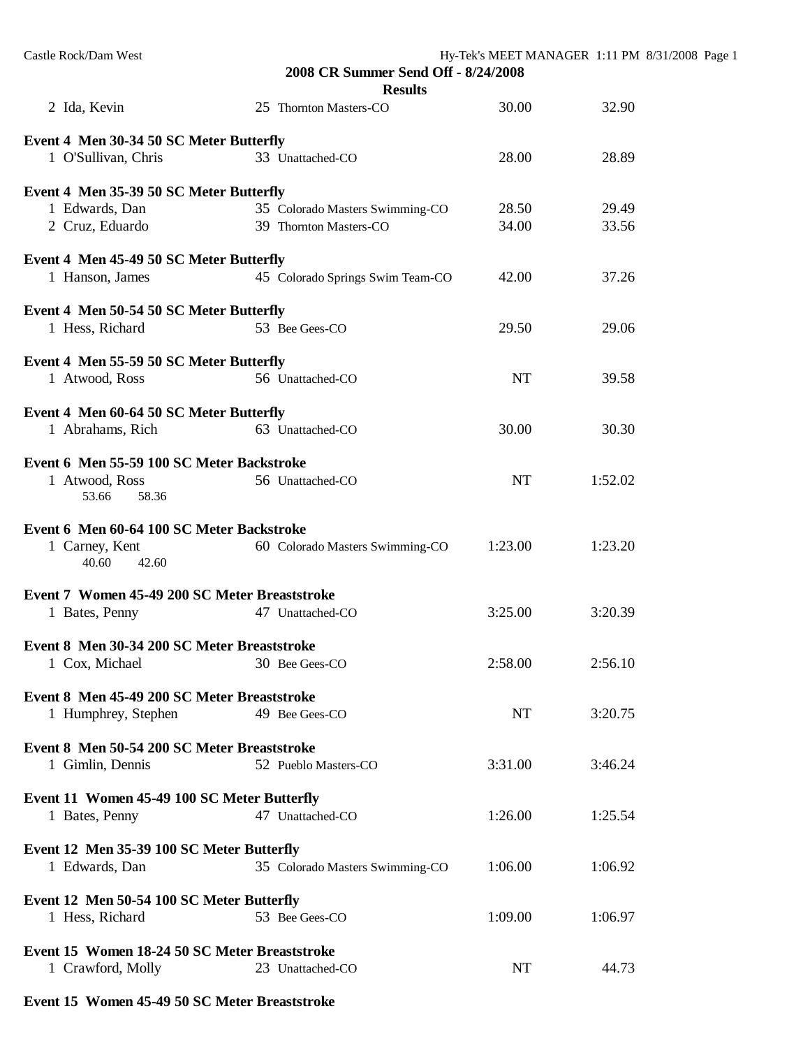| Castle Rock/Dam West                          | 2008 CR Summer Send Off - 8/24/2008 |           | Hy-Tek's MEET MANAGER 1:11 PM 8/31/2008 Page 1 |  |  |
|-----------------------------------------------|-------------------------------------|-----------|------------------------------------------------|--|--|
|                                               | <b>Results</b>                      |           |                                                |  |  |
| 2 Ida, Kevin                                  | 25 Thornton Masters-CO              | 30.00     | 32.90                                          |  |  |
| Event 4 Men 30-34 50 SC Meter Butterfly       |                                     |           |                                                |  |  |
| 1 O'Sullivan, Chris                           | 33 Unattached-CO                    | 28.00     | 28.89                                          |  |  |
| Event 4 Men 35-39 50 SC Meter Butterfly       |                                     |           |                                                |  |  |
| 1 Edwards, Dan                                | 35 Colorado Masters Swimming-CO     | 28.50     | 29.49                                          |  |  |
| 2 Cruz, Eduardo                               | 39 Thornton Masters-CO              | 34.00     | 33.56                                          |  |  |
| Event 4 Men 45-49 50 SC Meter Butterfly       |                                     |           |                                                |  |  |
| 1 Hanson, James                               | 45 Colorado Springs Swim Team-CO    | 42.00     | 37.26                                          |  |  |
| Event 4 Men 50-54 50 SC Meter Butterfly       |                                     |           |                                                |  |  |
| 1 Hess, Richard                               | 53 Bee Gees-CO                      | 29.50     | 29.06                                          |  |  |
| Event 4 Men 55-59 50 SC Meter Butterfly       |                                     |           |                                                |  |  |
| 1 Atwood, Ross                                | 56 Unattached-CO                    | <b>NT</b> | 39.58                                          |  |  |
| Event 4 Men 60-64 50 SC Meter Butterfly       |                                     |           |                                                |  |  |
| 1 Abrahams, Rich                              | 63 Unattached-CO                    | 30.00     | 30.30                                          |  |  |
| Event 6 Men 55-59 100 SC Meter Backstroke     |                                     |           |                                                |  |  |
| 1 Atwood, Ross<br>53.66<br>58.36              | 56 Unattached-CO                    | <b>NT</b> | 1:52.02                                        |  |  |
| Event 6 Men 60-64 100 SC Meter Backstroke     |                                     |           |                                                |  |  |
| 1 Carney, Kent<br>40.60<br>42.60              | 60 Colorado Masters Swimming-CO     | 1:23.00   | 1:23.20                                        |  |  |
| Event 7 Women 45-49 200 SC Meter Breaststroke |                                     |           |                                                |  |  |
| 1 Bates, Penny                                | 47 Unattached-CO                    | 3:25.00   | 3:20.39                                        |  |  |
| Event 8 Men 30-34 200 SC Meter Breaststroke   |                                     |           |                                                |  |  |
| 1 Cox, Michael                                | 30 Bee Gees-CO                      | 2:58.00   | 2:56.10                                        |  |  |
| Event 8 Men 45-49 200 SC Meter Breaststroke   |                                     |           |                                                |  |  |
| 1 Humphrey, Stephen                           | 49 Bee Gees-CO                      | NT        | 3:20.75                                        |  |  |
| Event 8 Men 50-54 200 SC Meter Breaststroke   |                                     |           |                                                |  |  |
| 1 Gimlin, Dennis                              | 52 Pueblo Masters-CO                | 3:31.00   | 3:46.24                                        |  |  |
| Event 11 Women 45-49 100 SC Meter Butterfly   |                                     |           |                                                |  |  |
| 1 Bates, Penny                                | 47 Unattached-CO                    | 1:26.00   | 1:25.54                                        |  |  |
| Event 12 Men 35-39 100 SC Meter Butterfly     |                                     |           |                                                |  |  |
| 1 Edwards, Dan                                | 35 Colorado Masters Swimming-CO     | 1:06.00   | 1:06.92                                        |  |  |
| Event 12 Men 50-54 100 SC Meter Butterfly     |                                     |           |                                                |  |  |
| 1 Hess, Richard                               | 53 Bee Gees-CO                      | 1:09.00   | 1:06.97                                        |  |  |
| Event 15 Women 18-24 50 SC Meter Breaststroke |                                     |           |                                                |  |  |
| 1 Crawford, Molly                             | 23 Unattached-CO                    | NT        | 44.73                                          |  |  |
|                                               |                                     |           |                                                |  |  |

## **Event 15 Women 45-49 50 SC Meter Breaststroke**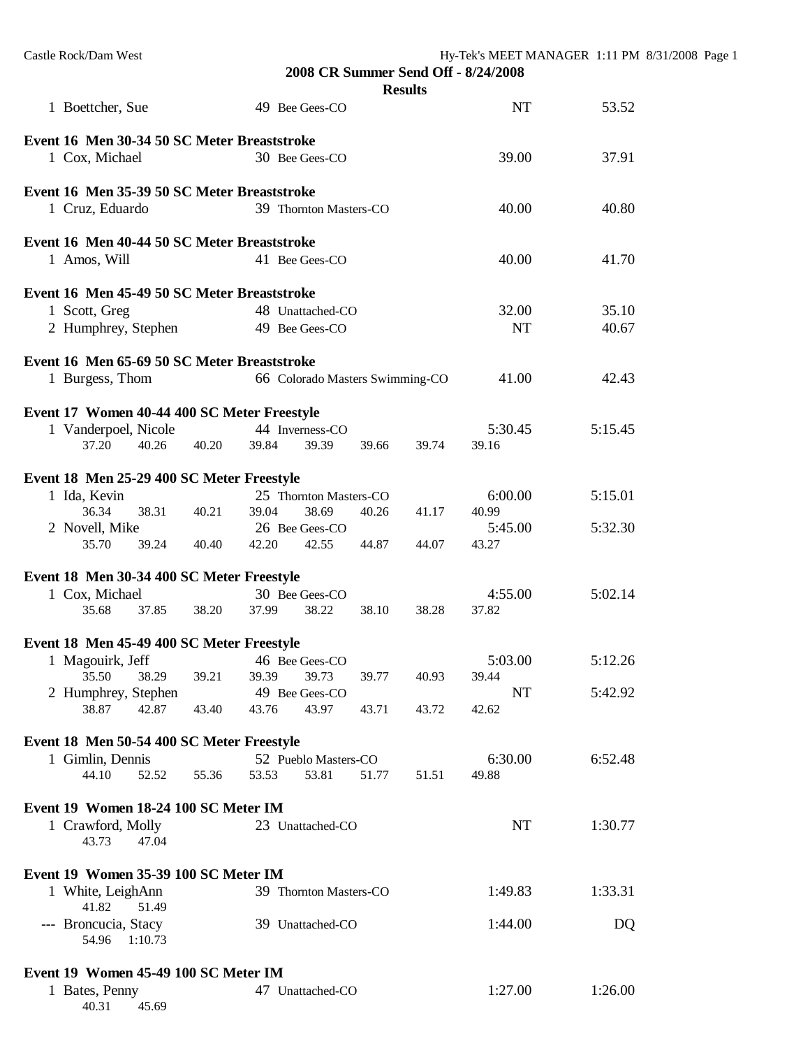| Castle Rock/Dam West                                                                           | 2008 CR Summer Send Off - 8/24/2008<br><b>Results</b>      |                    | Hy-Tek's MEET MANAGER 1:11 PM 8/31/2008 Page 1 |
|------------------------------------------------------------------------------------------------|------------------------------------------------------------|--------------------|------------------------------------------------|
| 1 Boettcher, Sue                                                                               | 49 Bee Gees-CO                                             | <b>NT</b>          | 53.52                                          |
| Event 16 Men 30-34 50 SC Meter Breaststroke<br>1 Cox, Michael                                  | 30 Bee Gees-CO                                             | 39.00              | 37.91                                          |
| Event 16 Men 35-39 50 SC Meter Breaststroke<br>1 Cruz, Eduardo                                 | 39 Thornton Masters-CO                                     | 40.00              | 40.80                                          |
| Event 16 Men 40-44 50 SC Meter Breaststroke<br>1 Amos, Will                                    | 41 Bee Gees-CO                                             | 40.00              | 41.70                                          |
| Event 16 Men 45-49 50 SC Meter Breaststroke<br>1 Scott, Greg<br>2 Humphrey, Stephen            | 48 Unattached-CO<br>49 Bee Gees-CO                         | 32.00<br><b>NT</b> | 35.10<br>40.67                                 |
| Event 16 Men 65-69 50 SC Meter Breaststroke<br>1 Burgess, Thom                                 | 66 Colorado Masters Swimming-CO                            | 41.00              | 42.43                                          |
| Event 17 Women 40-44 400 SC Meter Freestyle<br>1 Vanderpoel, Nicole<br>37.20<br>40.26<br>40.20 | 44 Inverness-CO<br>39.39<br>39.84<br>39.66<br>39.74        | 5:30.45<br>39.16   | 5:15.45                                        |
| Event 18 Men 25-29 400 SC Meter Freestyle<br>1 Ida, Kevin<br>36.34<br>38.31<br>40.21           | 25 Thornton Masters-CO<br>38.69<br>39.04<br>40.26<br>41.17 | 6:00.00<br>40.99   | 5:15.01                                        |
| 2 Novell, Mike<br>35.70<br>39.24<br>40.40                                                      | 26 Bee Gees-CO<br>42.20<br>42.55<br>44.87<br>44.07         | 5:45.00<br>43.27   | 5:32.30                                        |
| Event 18 Men 30-34 400 SC Meter Freestyle<br>1 Cox, Michael<br>35.68<br>37.85<br>38.20         | 30 Bee Gees-CO<br>38.22<br>37.99<br>38.10<br>38.28         | 4:55.00<br>37.82   | 5:02.14                                        |
| Event 18 Men 45-49 400 SC Meter Freestyle<br>1 Magouirk, Jeff<br>35.50<br>38.29<br>39.21       | 46 Bee Gees-CO<br>39.39<br>39.73<br>39.77<br>40.93         | 5:03.00<br>39.44   | 5:12.26                                        |
| 2 Humphrey, Stephen<br>38.87<br>42.87<br>43.40                                                 | 49 Bee Gees-CO<br>43.76<br>43.97<br>43.71<br>43.72         | NT<br>42.62        | 5:42.92                                        |
| Event 18 Men 50-54 400 SC Meter Freestyle<br>1 Gimlin, Dennis<br>44.10<br>52.52<br>55.36       | 52 Pueblo Masters-CO<br>53.81<br>53.53<br>51.77<br>51.51   | 6:30.00<br>49.88   | 6:52.48                                        |
| Event 19 Women 18-24 100 SC Meter IM<br>1 Crawford, Molly<br>47.04<br>43.73                    | 23 Unattached-CO                                           | NT                 | 1:30.77                                        |
| Event 19 Women 35-39 100 SC Meter IM<br>1 White, LeighAnn<br>41.82<br>51.49                    | 39 Thornton Masters-CO                                     | 1:49.83            | 1:33.31                                        |
| --- Broncucia, Stacy<br>54.96<br>1:10.73                                                       | 39 Unattached-CO                                           | 1:44.00            | DQ                                             |
| Event 19 Women 45-49 100 SC Meter IM<br>1 Bates, Penny<br>40.31<br>45.69                       | 47 Unattached-CO                                           | 1:27.00            | 1:26.00                                        |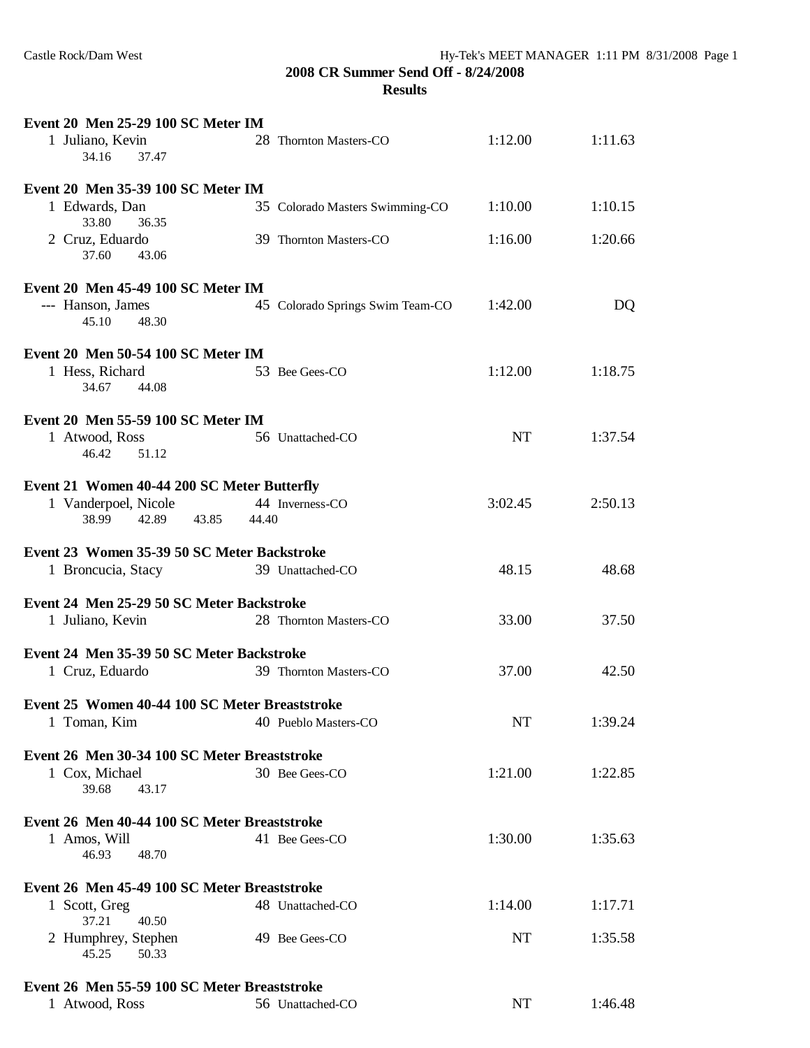**2008 CR Summer Send Off - 8/24/2008 Results**

| Event 20 Men 25-29 100 SC Meter IM                      |                                  |           |         |
|---------------------------------------------------------|----------------------------------|-----------|---------|
| 1 Juliano, Kevin<br>34.16<br>37.47                      | 28 Thornton Masters-CO           | 1:12.00   | 1:11.63 |
| Event 20 Men 35-39 100 SC Meter IM                      |                                  |           |         |
| 1 Edwards, Dan<br>33.80<br>36.35                        | 35 Colorado Masters Swimming-CO  | 1:10.00   | 1:10.15 |
| 2 Cruz, Eduardo<br>37.60<br>43.06                       | 39 Thornton Masters-CO           | 1:16.00   | 1:20.66 |
| Event 20 Men 45-49 100 SC Meter IM                      |                                  |           |         |
| --- Hanson, James<br>45.10<br>48.30                     | 45 Colorado Springs Swim Team-CO | 1:42.00   | DQ      |
| Event 20 Men 50-54 100 SC Meter IM                      |                                  |           |         |
| 1 Hess, Richard<br>34.67<br>44.08                       | 53 Bee Gees-CO                   | 1:12.00   | 1:18.75 |
| Event 20 Men 55-59 100 SC Meter IM                      |                                  |           |         |
| 1 Atwood, Ross<br>46.42<br>51.12                        | 56 Unattached-CO                 | <b>NT</b> | 1:37.54 |
| Event 21 Women 40-44 200 SC Meter Butterfly             |                                  |           |         |
| 1 Vanderpoel, Nicole<br>38.99<br>42.89<br>43.85         | 44 Inverness-CO<br>44.40         | 3:02.45   | 2:50.13 |
| Event 23 Women 35-39 50 SC Meter Backstroke             |                                  |           |         |
| 1 Broncucia, Stacy                                      | 39 Unattached-CO                 | 48.15     | 48.68   |
| Event 24 Men 25-29 50 SC Meter Backstroke               |                                  |           |         |
| 1 Juliano, Kevin                                        | 28 Thornton Masters-CO           | 33.00     | 37.50   |
| Event 24 Men 35-39 50 SC Meter Backstroke               |                                  |           |         |
| 1 Cruz, Eduardo                                         | 39 Thornton Masters-CO           | 37.00     | 42.50   |
| Event 25 Women 40-44 100 SC Meter Breaststroke          |                                  |           |         |
| 1 Toman, Kim                                            | 40 Pueblo Masters-CO             | <b>NT</b> | 1:39.24 |
| Event 26 Men 30-34 100 SC Meter Breaststroke            |                                  |           |         |
| 1 Cox, Michael<br>39.68<br>43.17                        | 30 Bee Gees-CO                   | 1:21.00   | 1:22.85 |
| Event 26 Men 40-44 100 SC Meter Breaststroke            |                                  |           |         |
| 1 Amos, Will<br>46.93<br>48.70                          | 41 Bee Gees-CO                   | 1:30.00   | 1:35.63 |
| Event 26 Men 45-49 100 SC Meter Breaststroke            |                                  |           |         |
| 1 Scott, Greg                                           | 48 Unattached-CO                 | 1:14.00   | 1:17.71 |
| 37.21<br>40.50<br>2 Humphrey, Stephen<br>45.25<br>50.33 | 49 Bee Gees-CO                   | NT        | 1:35.58 |
| Event 26 Men 55-59 100 SC Meter Breaststroke            |                                  |           |         |
| 1 Atwood, Ross                                          | 56 Unattached-CO                 | NT        | 1:46.48 |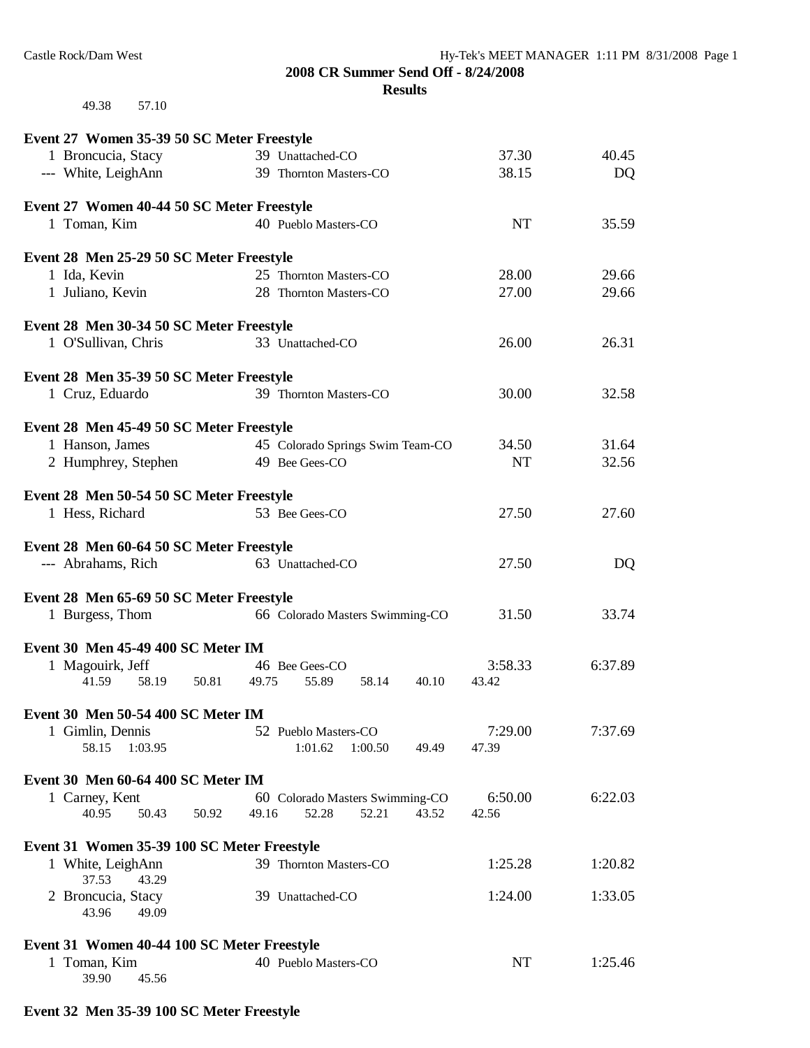**2008 CR Summer Send Off - 8/24/2008**

**Results**

49.38 57.10

| Event 27 Women 35-39 50 SC Meter Freestyle  |                                  |           |         |
|---------------------------------------------|----------------------------------|-----------|---------|
| 1 Broncucia, Stacy                          | 39 Unattached-CO                 | 37.30     | 40.45   |
| --- White, LeighAnn                         | 39 Thornton Masters-CO           | 38.15     | DQ      |
| Event 27 Women 40-44 50 SC Meter Freestyle  |                                  |           |         |
| 1 Toman, Kim                                | 40 Pueblo Masters-CO             | <b>NT</b> | 35.59   |
|                                             |                                  |           |         |
| Event 28 Men 25-29 50 SC Meter Freestyle    |                                  |           |         |
| 1 Ida, Kevin                                | 25 Thornton Masters-CO           | 28.00     | 29.66   |
| 1 Juliano, Kevin                            | 28 Thornton Masters-CO           | 27.00     | 29.66   |
| Event 28 Men 30-34 50 SC Meter Freestyle    |                                  |           |         |
| 1 O'Sullivan, Chris                         | 33 Unattached-CO                 | 26.00     | 26.31   |
| Event 28 Men 35-39 50 SC Meter Freestyle    |                                  |           |         |
| 1 Cruz, Eduardo                             | 39 Thornton Masters-CO           | 30.00     | 32.58   |
|                                             |                                  |           |         |
| Event 28 Men 45-49 50 SC Meter Freestyle    |                                  |           |         |
| 1 Hanson, James                             | 45 Colorado Springs Swim Team-CO | 34.50     | 31.64   |
| 2 Humphrey, Stephen                         | 49 Bee Gees-CO                   | <b>NT</b> | 32.56   |
| Event 28 Men 50-54 50 SC Meter Freestyle    |                                  |           |         |
| 1 Hess, Richard                             | 53 Bee Gees-CO                   | 27.50     | 27.60   |
| Event 28 Men 60-64 50 SC Meter Freestyle    |                                  |           |         |
| --- Abrahams, Rich                          | 63 Unattached-CO                 | 27.50     | DQ      |
|                                             |                                  |           |         |
| Event 28 Men 65-69 50 SC Meter Freestyle    |                                  |           |         |
| 1 Burgess, Thom                             | 66 Colorado Masters Swimming-CO  | 31.50     | 33.74   |
| Event 30 Men 45-49 400 SC Meter IM          |                                  |           |         |
| 1 Magouirk, Jeff                            | 46 Bee Gees-CO                   | 3:58.33   | 6:37.89 |
| 41.59<br>58.19<br>50.81                     | 49.75<br>55.89<br>58.14<br>40.10 | 43.42     |         |
| Event 30 Men 50-54 400 SC Meter IM          |                                  |           |         |
| 1 Gimlin, Dennis                            | 52 Pueblo Masters-CO             | 7:29.00   | 7:37.69 |
| 58.15<br>1:03.95                            | 1:01.62<br>1:00.50<br>49.49      | 47.39     |         |
| Event 30 Men 60-64 400 SC Meter IM          |                                  |           |         |
| 1 Carney, Kent                              | 60 Colorado Masters Swimming-CO  | 6:50.00   | 6:22.03 |
| 40.95<br>50.43<br>50.92                     | 49.16<br>52.28<br>52.21<br>43.52 | 42.56     |         |
| Event 31 Women 35-39 100 SC Meter Freestyle |                                  |           |         |
| 1 White, LeighAnn                           | 39 Thornton Masters-CO           | 1:25.28   | 1:20.82 |
| 37.53<br>43.29                              |                                  |           |         |
| 2 Broncucia, Stacy                          | 39 Unattached-CO                 | 1:24.00   | 1:33.05 |
| 43.96<br>49.09                              |                                  |           |         |
| Event 31 Women 40-44 100 SC Meter Freestyle |                                  |           |         |
| 1 Toman, Kim                                | 40 Pueblo Masters-CO             | NT        | 1:25.46 |
| 39.90<br>45.56                              |                                  |           |         |

## **Event 32 Men 35-39 100 SC Meter Freestyle**